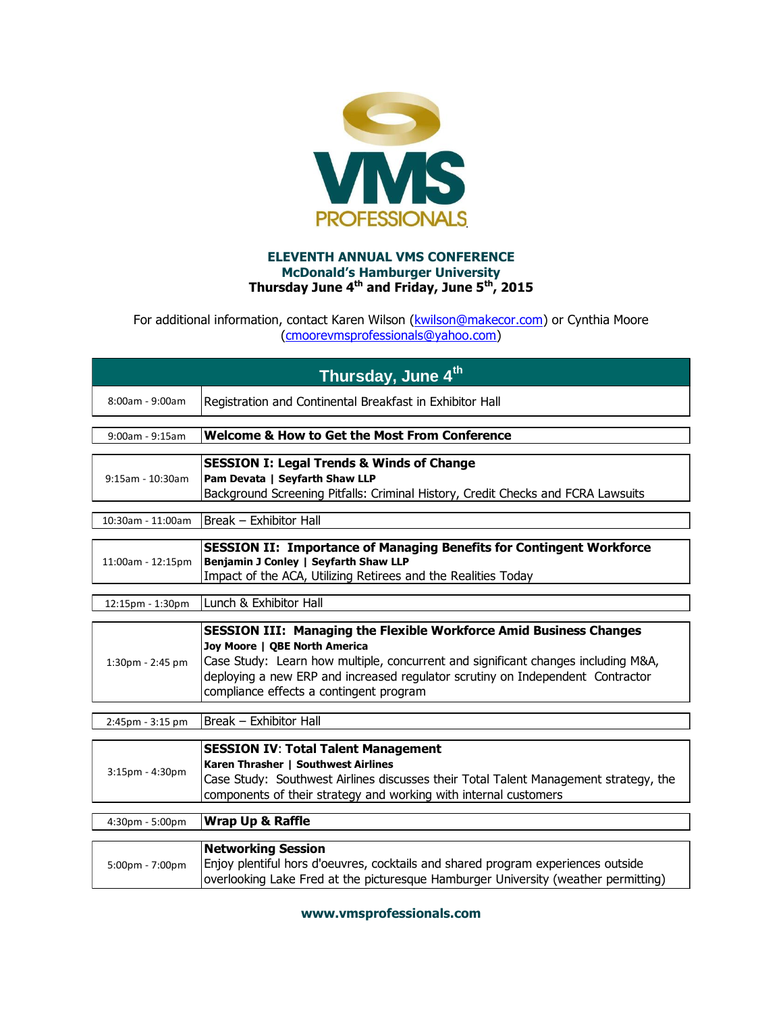

## **ELEVENTH ANNUAL VMS CONFERENCE McDonald's Hamburger University Thursday June 4th and Friday, June 5th, 2015**

For additional information, contact Karen Wilson (**kwilson@makecor.com**) or Cynthia Moore [\(cmoorevmsprofessionals@yahoo.com\)](mailto:cmoorevmsprofessionals@yahoo.com)

| Thursday, June 4th                         |                                                                                                                                                                                                                                                                                                                              |  |
|--------------------------------------------|------------------------------------------------------------------------------------------------------------------------------------------------------------------------------------------------------------------------------------------------------------------------------------------------------------------------------|--|
| 8:00am - 9:00am                            | Registration and Continental Breakfast in Exhibitor Hall                                                                                                                                                                                                                                                                     |  |
|                                            |                                                                                                                                                                                                                                                                                                                              |  |
| $9:00$ am - $9:15$ am                      | <b>Welcome &amp; How to Get the Most From Conference</b>                                                                                                                                                                                                                                                                     |  |
|                                            | <b>SESSION I: Legal Trends &amp; Winds of Change</b>                                                                                                                                                                                                                                                                         |  |
| $9:15$ am - 10:30am                        | Pam Devata   Seyfarth Shaw LLP                                                                                                                                                                                                                                                                                               |  |
|                                            | Background Screening Pitfalls: Criminal History, Credit Checks and FCRA Lawsuits                                                                                                                                                                                                                                             |  |
|                                            |                                                                                                                                                                                                                                                                                                                              |  |
| 10:30am - 11:00am                          | Break - Exhibitor Hall                                                                                                                                                                                                                                                                                                       |  |
| 11:00am - 12:15pm                          | <b>SESSION II: Importance of Managing Benefits for Contingent Workforce</b><br>Benjamin J Conley   Seyfarth Shaw LLP<br>Impact of the ACA, Utilizing Retirees and the Realities Today                                                                                                                                        |  |
| 12:15pm - 1:30pm                           | Lunch & Exhibitor Hall                                                                                                                                                                                                                                                                                                       |  |
| $1:30$ pm - $2:45$ pm                      | <b>SESSION III: Managing the Flexible Workforce Amid Business Changes</b><br>Joy Moore   QBE North America<br>Case Study: Learn how multiple, concurrent and significant changes including M&A,<br>deploying a new ERP and increased regulator scrutiny on Independent Contractor<br>compliance effects a contingent program |  |
| 2:45pm - 3:15 pm                           | Break - Exhibitor Hall                                                                                                                                                                                                                                                                                                       |  |
| <b>SESSION IV: Total Talent Management</b> |                                                                                                                                                                                                                                                                                                                              |  |
| 3:15pm - 4:30pm                            | Karen Thrasher   Southwest Airlines<br>Case Study: Southwest Airlines discusses their Total Talent Management strategy, the<br>components of their strategy and working with internal customers                                                                                                                              |  |
| $4:30$ pm - 5:00pm                         | <b>Wrap Up &amp; Raffle</b>                                                                                                                                                                                                                                                                                                  |  |

|                    | <b>Networking Session</b>                                                          |
|--------------------|------------------------------------------------------------------------------------|
| $5:00$ pm - 7:00pm | Enjoy plentiful hors d'oeuvres, cocktails and shared program experiences outside   |
|                    | overlooking Lake Fred at the picturesque Hamburger University (weather permitting) |

**www.vmsprofessionals.com**